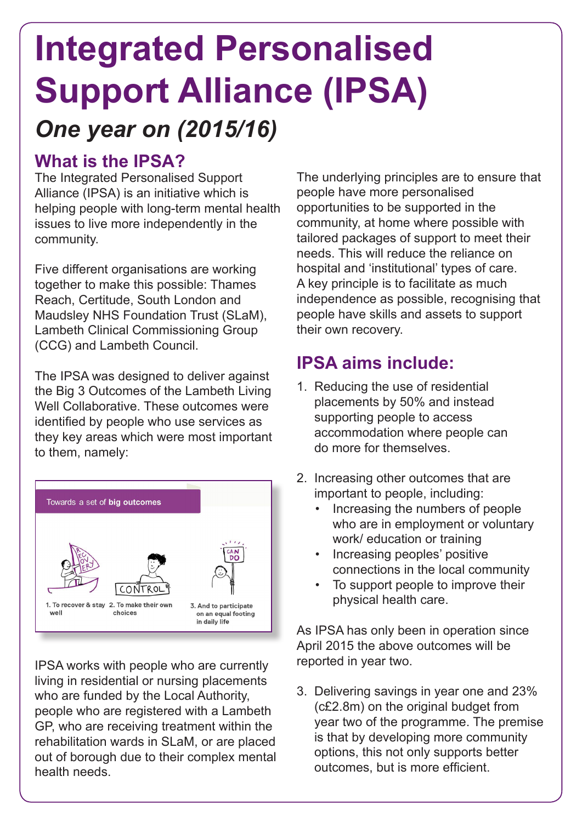# *One year on (2015/16)* **Integrated Personalised Support Alliance (IPSA)**

### **What is the IPSA?**

The Integrated Personalised Support Alliance (IPSA) is an initiative which is helping people with long-term mental health issues to live more independently in the community.

Five different organisations are working together to make this possible: Thames Reach, Certitude, South London and Maudsley NHS Foundation Trust (SLaM), Lambeth Clinical Commissioning Group (CCG) and Lambeth Council.

The IPSA was designed to deliver against the Big 3 Outcomes of the Lambeth Living Well Collaborative. These outcomes were identified by people who use services as they key areas which were most important to them, namely:



IPSA works with people who are currently living in residential or nursing placements who are funded by the Local Authority, people who are registered with a Lambeth GP, who are receiving treatment within the rehabilitation wards in SLaM, or are placed out of borough due to their complex mental health needs.

The underlying principles are to ensure that people have more personalised opportunities to be supported in the community, at home where possible with tailored packages of support to meet their needs. This will reduce the reliance on hospital and 'institutional' types of care. A key principle is to facilitate as much independence as possible, recognising that people have skills and assets to support their own recovery.

## **IPSA aims include:**

- 1. Reducing the use of residential placements by 50% and instead supporting people to access accommodation where people can do more for themselves.
- 2. Increasing other outcomes that are important to people, including:
	- Increasing the numbers of people who are in employment or voluntary work/ education or training
	- Increasing peoples' positive connections in the local community
	- To support people to improve their physical health care.

As IPSA has only been in operation since April 2015 the above outcomes will be reported in year two.

3. Delivering savings in year one and 23% (c£2.8m) on the original budget from year two of the programme. The premise is that by developing more community options, this not only supports better outcomes, but is more efficient.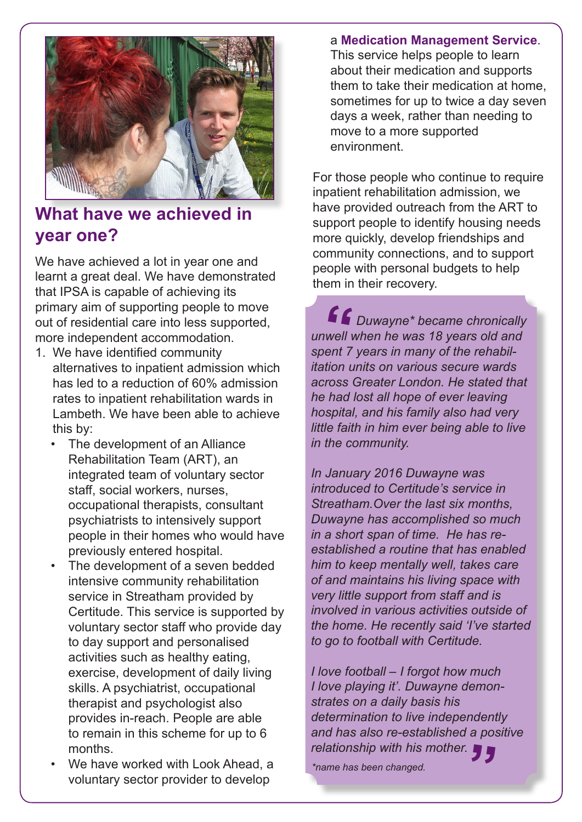

### **What have we achieved in year one?**

We have achieved a lot in year one and learnt a great deal. We have demonstrated that IPSA is capable of achieving its primary aim of supporting people to move out of residential care into less supported, more independent accommodation.

- 1. We have identified community alternatives to inpatient admission which has led to a reduction of 60% admission rates to inpatient rehabilitation wards in Lambeth. We have been able to achieve this by:
	- The development of an Alliance Rehabilitation Team (ART), an integrated team of voluntary sector staff, social workers, nurses, occupational therapists, consultant psychiatrists to intensively support people in their homes who would have previously entered hospital.
	- The development of a seven bedded intensive community rehabilitation service in Streatham provided by Certitude. This service is supported by voluntary sector staff who provide day to day support and personalised activities such as healthy eating, exercise, development of daily living skills. A psychiatrist, occupational therapist and psychologist also provides in-reach. People are able to remain in this scheme for up to 6 months.
	- We have worked with Look Ahead, a voluntary sector provider to develop

#### a **Medication Management Service**.

This service helps people to learn about their medication and supports them to take their medication at home, sometimes for up to twice a day seven days a week, rather than needing to move to a more supported environment.

For those people who continue to require inpatient rehabilitation admission, we have provided outreach from the ART to support people to identify housing needs more quickly, develop friendships and community connections, and to support people with personal budgets to help them in their recovery.

 *Duwayne\* became chronically*  **"***unwell when he was 18 years old and spent 7 years in many of the rehabil itation units on various secure wards across Greater London. He stated that he had lost all hope of ever leaving hospital, and his family also had very little faith in him ever being able to live in the community.*

*In January 2016 Duwayne was introduced to Certitude's service in Streatham.Over the last six months, Duwayne has accomplished so much in a short span of time. He has reestablished a routine that has enabled him to keep mentally well, takes care of and maintains his living space with very little support from staff and is involved in various activities outside of the home. He recently said 'I've started to go to football with Certitude.* 

*I love football – I forgot how much I love playing it'. Duwayne demonstrates on a daily basis his determination to live independently and has also re-established a positive relationship with his mother.* **"**

*\*name has been changed.*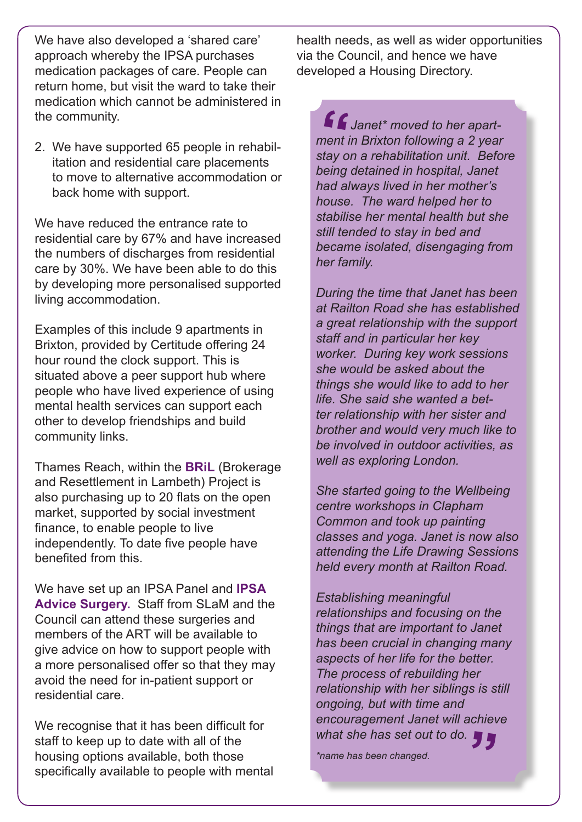We have also developed a 'shared care' approach whereby the IPSA purchases medication packages of care. People can return home, but visit the ward to take their medication which cannot be administered in the community.

2. We have supported 65 people in rehabilitation and residential care placements to move to alternative accommodation or back home with support.

We have reduced the entrance rate to residential care by 67% and have increased the numbers of discharges from residential care by 30%. We have been able to do this by developing more personalised supported living accommodation.

Examples of this include 9 apartments in Brixton, provided by Certitude offering 24 hour round the clock support. This is situated above a peer support hub where people who have lived experience of using mental health services can support each other to develop friendships and build community links.

Thames Reach, within the **BRiL** (Brokerage and Resettlement in Lambeth) Project is also purchasing up to 20 flats on the open market, supported by social investment finance, to enable people to live independently. To date five people have benefited from this.

We have set up an IPSA Panel and **IPSA Advice Surgery.** Staff from SLaM and the Council can attend these surgeries and members of the ART will be available to give advice on how to support people with a more personalised offer so that they may avoid the need for in-patient support or residential care.

We recognise that it has been difficult for staff to keep up to date with all of the housing options available, both those specifically available to people with mental health needs, as well as wider opportunities via the Council, and hence we have developed a Housing Directory.

 *Janet\* moved to her apart-***"***ment in Brixton following a 2 year stay on a rehabilitation unit. Before being detained in hospital, Janet had always lived in her mother's house. The ward helped her to stabilise her mental health but she still tended to stay in bed and became isolated, disengaging from her family.* 

*During the time that Janet has been at Railton Road she has established a great relationship with the support staff and in particular her key worker. During key work sessions she would be asked about the things she would like to add to her life. She said she wanted a better relationship with her sister and brother and would very much like to be involved in outdoor activities, as well as exploring London.* 

*She started going to the Wellbeing centre workshops in Clapham Common and took up painting classes and yoga. Janet is now also attending the Life Drawing Sessions held every month at Railton Road.*

*Establishing meaningful relationships and focusing on the things that are important to Janet has been crucial in changing many aspects of her life for the better. The process of rebuilding her relationship with her siblings is still ongoing, but with time and encouragement Janet will achieve what she has set out to do.* **"**

*\*name has been changed.*